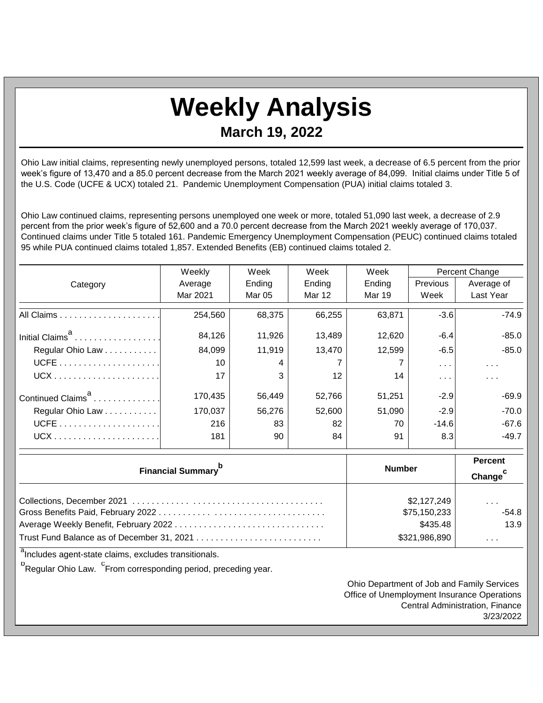## **Weekly Analysis March 19, 2022**

Ohio Law initial claims, representing newly unemployed persons, totaled 12,599 last week, a decrease of 6.5 percent from the prior week's figure of 13,470 and a 85.0 percent decrease from the March 2021 weekly average of 84,099. Initial claims under Title 5 of the U.S. Code (UCFE & UCX) totaled 21. Pandemic Unemployment Compensation (PUA) initial claims totaled 3.

Ohio Law continued claims, representing persons unemployed one week or more, totaled 51,090 last week, a decrease of 2.9 percent from the prior week's figure of 52,600 and a 70.0 percent decrease from the March 2021 weekly average of 170,037. Continued claims under Title 5 totaled 161. Pandemic Emergency Unemployment Compensation (PEUC) continued claims totaled 95 while PUA continued claims totaled 1,857. Extended Benefits (EB) continued claims totaled 2.

|                               | Weekly        | Week          | Week                    | Week          | Percent Change          |            |
|-------------------------------|---------------|---------------|-------------------------|---------------|-------------------------|------------|
| Category                      | Average       | Ending        | Ending                  | Ending        | <b>Previous</b>         | Average of |
|                               | Mar 2021      | <b>Mar 05</b> | Mar 12                  | <b>Mar 19</b> | Week                    | Last Year  |
|                               | 254,560       | 68,375        | 66,255                  | 63,871        | $-3.6$                  | $-74.9$    |
| Initial Claims <sup>a</sup>   | 84,126        | 11,926        | 13,489                  | 12,620        | $-6.4$                  | $-85.0$    |
| Regular Ohio Law              | 84,099        | 11,919        | 13,470                  | 12,599        | $-6.5$                  | $-85.0$    |
|                               | 10            |               |                         |               | $\sim 100$              | $\sim 100$ |
|                               | 17            |               | 12                      | 14            | $\sim 100$ km s $^{-1}$ | $\sim 100$ |
| Continued Claims <sup>a</sup> | 170,435       | 56,449        | 52,766                  | 51,251        | $-2.9$                  | $-69.9$    |
| Regular Ohio Law              | 170,037       | 56,276        | 52,600                  | 51,090        | $-2.9$                  | $-70.0$    |
|                               | 216           | 83            | 82                      | 70            | $-14.6$                 | $-67.6$    |
|                               | 181           | 90            | 84                      | 91            | 8.3                     | $-49.7$    |
|                               | <b>Number</b> |               | <b>Percent</b>          |               |                         |            |
| <b>Financial Summary</b>      |               |               | Change <sup>c</sup>     |               |                         |            |
|                               |               | \$2,127,249   |                         |               |                         |            |
|                               | \$75,150,233  |               | $-54.8$                 |               |                         |            |
|                               | \$435.48      |               | 13.9                    |               |                         |            |
|                               | \$321,986,890 |               | $\sim 100$ km s $^{-1}$ |               |                         |            |

<sup>a</sup>Includes agent-state claims, excludes transitionals.

<sup>b</sup>Regular Ohio Law. <sup>C</sup>From corresponding period, preceding year.

Ohio Department of Job and Family Services Office of Unemployment Insurance Operations Central Administration, Finance 3/23/2022